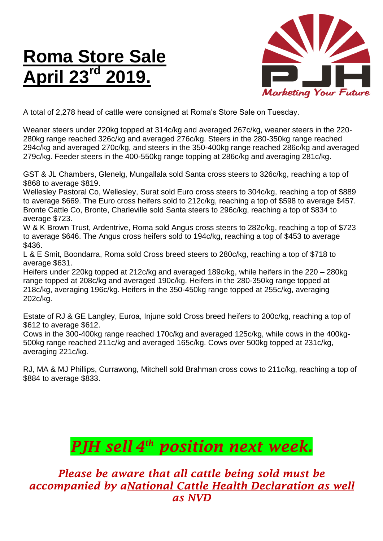## **Roma Store Sale April 23rd 2019.**



A total of 2,278 head of cattle were consigned at Roma's Store Sale on Tuesday.

Weaner steers under 220kg topped at 314c/kg and averaged 267c/kg, weaner steers in the 220- 280kg range reached 326c/kg and averaged 276c/kg. Steers in the 280-350kg range reached 294c/kg and averaged 270c/kg, and steers in the 350-400kg range reached 286c/kg and averaged 279c/kg. Feeder steers in the 400-550kg range topping at 286c/kg and averaging 281c/kg.

GST & JL Chambers, Glenelg, Mungallala sold Santa cross steers to 326c/kg, reaching a top of \$868 to average \$819.

Wellesley Pastoral Co, Wellesley, Surat sold Euro cross steers to 304c/kg, reaching a top of \$889 to average \$669. The Euro cross heifers sold to 212c/kg, reaching a top of \$598 to average \$457. Bronte Cattle Co, Bronte, Charleville sold Santa steers to 296c/kg, reaching a top of \$834 to average \$723.

W & K Brown Trust, Ardentrive, Roma sold Angus cross steers to 282c/kg, reaching a top of \$723 to average \$646. The Angus cross heifers sold to 194c/kg, reaching a top of \$453 to average \$436.

L & E Smit, Boondarra, Roma sold Cross breed steers to 280c/kg, reaching a top of \$718 to average \$631.

Heifers under 220kg topped at 212c/kg and averaged 189c/kg, while heifers in the 220 – 280kg range topped at 208c/kg and averaged 190c/kg. Heifers in the 280-350kg range topped at 218c/kg, averaging 196c/kg. Heifers in the 350-450kg range topped at 255c/kg, averaging 202c/kg.

Estate of RJ & GE Langley, Euroa, Injune sold Cross breed heifers to 200c/kg, reaching a top of \$612 to average \$612.

Cows in the 300-400kg range reached 170c/kg and averaged 125c/kg, while cows in the 400kg-500kg range reached 211c/kg and averaged 165c/kg. Cows over 500kg topped at 231c/kg, averaging 221c/kg.

RJ, MA & MJ Phillips, Currawong, Mitchell sold Brahman cross cows to 211c/kg, reaching a top of \$884 to average \$833.

## *PJH sell 4 th position next week.*

*Please be aware that all cattle being sold must be accompanied by aNational Cattle Health Declaration as well as NVD*